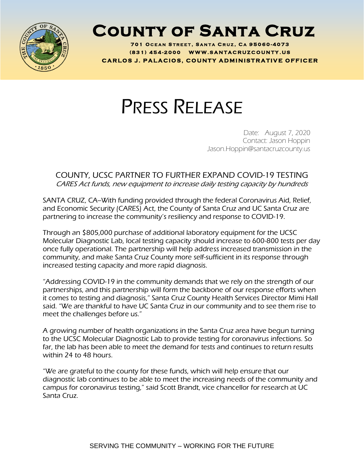

## **County of Santa Cruz**

**701 O C E A N S T R E E T , S A N T A C R U Z , C A 95060 - 4073 ( 8 3 1 ) <sup>454</sup> - <sup>200</sup> <sup>0</sup> W W W . S A N T A C R U Z C O U N T Y . U S C A R L O S J . P A L A C I O S , C O U N T Y A D M I N I S T R A T I V E O F F I C E R**

## PRESS RELEASE

Date: August 7, 2020 Contact: Jason Hoppin Jason.Hoppin@santacruzcounty.us

## COUNTY, UCSC PARTNER TO FURTHER EXPAND COVID-19 TESTING CARES Act funds, new equipment to increase daily testing capacity by hundreds

SANTA CRUZ, CA--With funding provided through the federal Coronavirus Aid, Relief, and Economic Security (CARES) Act, the County of Santa Cruz and UC Santa Cruz are partnering to increase the community's resiliency and response to COVID-19.

Through an \$805,000 purchase of additional laboratory equipment for the UCSC Molecular Diagnostic Lab, local testing capacity should increase to 600-800 tests per day once fully operational. The partnership will help address increased transmission in the community, and make Santa Cruz County more self-sufficient in its response through increased testing capacity and more rapid diagnosis.

"Addressing COVID-19 in the community demands that we rely on the strength of our partnerships, and this partnership will form the backbone of our response efforts when it comes to testing and diagnosis," Santa Cruz County Health Services Director Mimi Hall said. "We are thankful to have UC Santa Cruz in our community and to see them rise to meet the challenges before us."

A growing number of health organizations in the Santa Cruz area have begun turning to the UCSC Molecular Diagnostic Lab to provide testing for coronavirus infections. So far, the lab has been able to meet the demand for tests and continues to return results within 24 to 48 hours.

"We are grateful to the county for these funds, which will help ensure that our diagnostic lab continues to be able to meet the increasing needs of the community and campus for coronavirus testing," said Scott Brandt, vice chancellor for research at UC Santa Cruz.